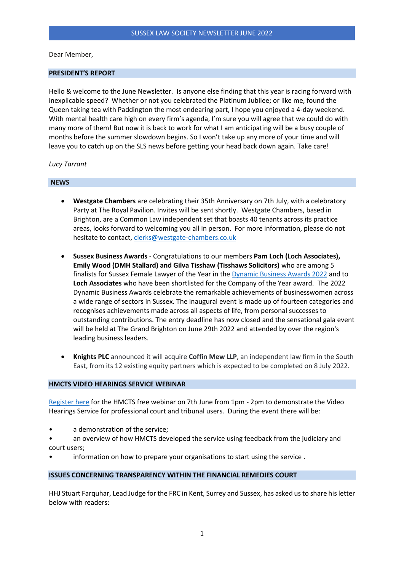Dear Member,

### **PRESIDENT'S REPORT**

Hello & welcome to the June Newsletter. Is anyone else finding that this year is racing forward with inexplicable speed? Whether or not you celebrated the Platinum Jubilee; or like me, found the Queen taking tea with Paddington the most endearing part, I hope you enjoyed a 4-day weekend. With mental health care high on every firm's agenda, I'm sure you will agree that we could do with many more of them! But now it is back to work for what I am anticipating will be a busy couple of months before the summer slowdown begins. So I won't take up any more of your time and will leave you to catch up on the SLS news before getting your head back down again. Take care!

### *Lucy Tarrant*

### **NEWS**

- **Westgate Chambers** are celebrating their 35th Anniversary on 7th July, with a celebratory Party at The Royal Pavilion. Invites will be sent shortly. Westgate Chambers, based in Brighton, are a Common Law independent set that boasts 40 tenants across its practice areas, looks forward to welcoming you all in person. For more information, please do not hesitate to contact, [clerks@westgate-chambers.co.uk](mailto:clerks@westgate-chambers.co.uk)
- **Sussex Business Awards** Congratulations to our members **Pam Loch (Loch Associates), Emily Wood (DMH Stallard) and Gilva Tisshaw (Tisshaws Solicitors)** who are among 5 finalists for Sussex Female Lawyer of the Year in th[e Dynamic Business Awards 2022](https://www.platinummediagroup.co.uk/events/the-dynamic-awards/categories/) and to **Loch Associates** who have been shortlisted for the Company of the Year award. The 2022 Dynamic Business Awards celebrate the remarkable achievements of businesswomen across a wide range of sectors in Sussex. The inaugural event is made up of fourteen categories and recognises achievements made across all aspects of life, from personal successes to outstanding contributions. The entry deadline has now closed and the sensational gala event will be held at The Grand Brighton on June 29th 2022 and attended by over the region's leading business leaders.
- **Knights PLC** announced it will acquire **Coffin Mew LLP**, an independent law firm in the South East, from its 12 existing equity partners which is expected to be completed on 8 July 2022.

### **HMCTS VIDEO HEARINGS SERVICE WEBINAR**

[Register here](https://www.eventbrite.co.uk/e/hmcts-introduction-to-the-video-hearings-service-tickets-338212902897?utm_medium=email&utm_source=) for the HMCTS free webinar on 7th June from 1pm - 2pm to demonstrate the Video Hearings Service for professional court and tribunal users. During the event there will be:

- a demonstration of the service;
- an overview of how HMCTS developed the service using feedback from the judiciary and court users;
- information on how to prepare your organisations to start using the service.

### **ISSUES CONCERNING TRANSPARENCY WITHIN THE FINANCIAL REMEDIES COURT**

HHJ Stuart Farquhar, Lead Judge for the FRC in Kent, Surrey and Sussex, has asked us to share his letter below with readers: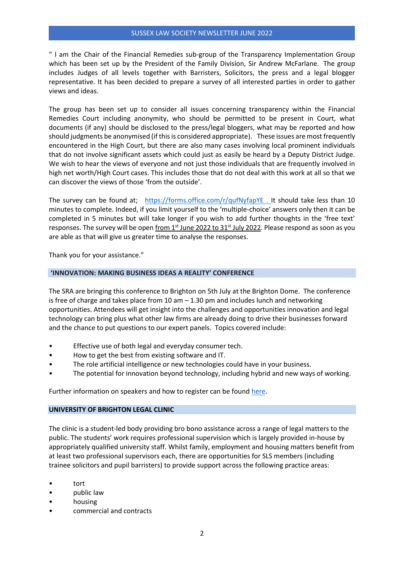## SUSSEX LAW SOCIETY NEWSLETTER JUNE 2022

" I am the Chair of the Financial Remedies sub-group of the Transparency Implementation Group which has been set up by the President of the Family Division, Sir Andrew McFarlane. The group includes Judges of all levels together with Barristers, Solicitors, the press and a legal blogger representative. It has been decided to prepare a survey of all interested parties in order to gather views and ideas.

The group has been set up to consider all issues concerning transparency within the Financial Remedies Court including anonymity, who should be permitted to be present in Court, what documents (if any) should be disclosed to the press/legal bloggers, what may be reported and how should judgments be anonymised (if this is considered appropriate). These issues are most frequently encountered in the High Court, but there are also many cases involving local prominent individuals that do not involve significant assets which could just as easily be heard by a Deputy District Judge. We wish to hear the views of everyone and not just those individuals that are frequently involved in high net worth/High Court cases. This includes those that do not deal with this work at all so that we can discover the views of those 'from the outside'.

The survey can be found at; <https://forms.office.com/r/qufNyfapYE> . It should take less than 10 minutes to complete. Indeed, if you limit yourself to the 'multiple-choice' answers only then it can be completed in 5 minutes but will take longer if you wish to add further thoughts in the 'free text' responses. The survey will be open from  $1<sup>st</sup>$  June 2022 to  $31<sup>st</sup>$  July 2022. Please respond as soon as you are able as that will give us greater time to analyse the responses.

Thank you for your assistance."

## **'INNOVATION: MAKING BUSINESS IDEAS A REALITY' CONFERENCE**

The SRA are bringing this conference to Brighton on 5th July at the Brighton Dome. The conference is free of charge and takes place from  $10$  am  $-1.30$  pm and includes lunch and networking opportunities. Attendees will get insight into the challenges and opportunities innovation and legal technology can bring plus what other law firms are already doing to drive their businesses forward and the chance to put questions to our expert panels. Topics covered include:

- Effective use of both legal and everyday consumer tech.
- How to get the best from existing software and IT.
- The role artificial intelligence or new technologies could have in your business.
- The potential for innovation beyond technology, including hybrid and new ways of working.

Further information on speakers and how to register can be foun[d here.](https://events.sra.org.uk/sra/frontend/reg/thome.csp?pageID=141156&eventID=596&CSPCHD=004001000000BRQLVpmkdkjuoqLO4nT0NUroAtv4BMmtXN5YAB)

# **UNIVERSITY OF BRIGHTON LEGAL CLINIC**

The clinic is a student-led body providing bro bono assistance across a range of legal matters to the public. The students' work requires professional supervision which is largely provided in-house by appropriately qualified university staff. Whilst family, employment and housing matters benefit from at least two professional supervisors each, there are opportunities for SLS members (including trainee solicitors and pupil barristers) to provide support across the following practice areas:

- tort
- public law
- housing
- commercial and contracts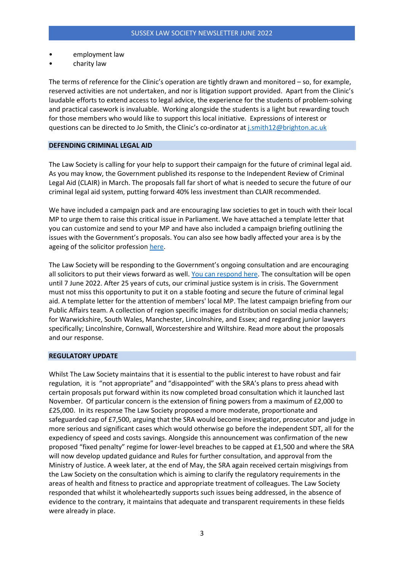- employment law
- charity law

The terms of reference for the Clinic's operation are tightly drawn and monitored – so, for example, reserved activities are not undertaken, and nor is litigation support provided. Apart from the Clinic's laudable efforts to extend access to legal advice, the experience for the students of problem-solving and practical casework is invaluable. Working alongside the students is a light but rewarding touch for those members who would like to support this local initiative. Expressions of interest or questions can be directed to Jo Smith, the Clinic's co-ordinator at [j.smith12@brighton.ac.uk](mailto:j.smith12@brighton.ac.uk)

### **DEFENDING CRIMINAL LEGAL AID**

The Law Society is calling for your help to support their campaign for the future of criminal legal aid. As you may know, the Government published its response to the Independent Review of Criminal Legal Aid (CLAIR) in March. The proposals fall far short of what is needed to secure the future of our criminal legal aid system, putting forward 40% less investment than CLAIR recommended.

We have included a campaign pack and are encouraging law societies to get in touch with their local MP to urge them to raise this critical issue in Parliament. We have attached a template letter that you can customize and send to your MP and have also included a campaign briefing outlining the issues with the Government's proposals. You can also see how badly affected your area is by the ageing of the solicitor professio[n here.](https://www.lawsociety.org.uk/en/campaigns/criminal-justice/criminal-duty-solicitors)

The Law Society will be responding to the Government's ongoing consultation and are encouraging all solicitors to put their views forward as well. [You can respond here.](https://consult.justice.gov.uk/digital-communications/criminal-legal-aid-independent-review-response/?utm_source=law_society_rel_man&utm_medium=email&utm_campaign=Local+Law+Society+Bulletin_05%2f17%2f2022) The consultation will be open until 7 June 2022. After 25 years of cuts, our criminal justice system is in crisis. The Government must not miss this opportunity to put it on a stable footing and secure the future of criminal legal aid. A template letter for the attention of members' local MP. The latest campaign briefing from our Public Affairs team. A collection of region specific images for distribution on social media channels; for Warwickshire, South Wales, Manchester, Lincolnshire, and Essex; and regarding junior lawyers specifically; Lincolnshire, Cornwall, Worcestershire and Wiltshire. Read more about the proposals and our response.

#### **REGULATORY UPDATE**

Whilst The Law Society maintains that it is essential to the public interest to have robust and fair regulation, it is "not appropriate" and "disappointed" with the SRA's plans to press ahead with certain proposals put forward within its now completed broad consultation which it launched last November. Of particular concern is the extension of fining powers from a maximum of £2,000 to £25,000. In its response The Law Society proposed a more moderate, proportionate and safeguarded cap of £7,500, arguing that the SRA would become investigator, prosecutor and judge in more serious and significant cases which would otherwise go before the independent SDT, all for the expediency of speed and costs savings. Alongside this announcement was confirmation of the new proposed "fixed penalty" regime for lower-level breaches to be capped at £1,500 and where the SRA will now develop updated guidance and Rules for further consultation, and approval from the Ministry of Justice. A week later, at the end of May, the SRA again received certain misgivings from the Law Society on the consultation which is aiming to clarify the regulatory requirements in the areas of health and fitness to practice and appropriate treatment of colleagues. The Law Society responded that whilst it wholeheartedly supports such issues being addressed, in the absence of evidence to the contrary, it maintains that adequate and transparent requirements in these fields were already in place.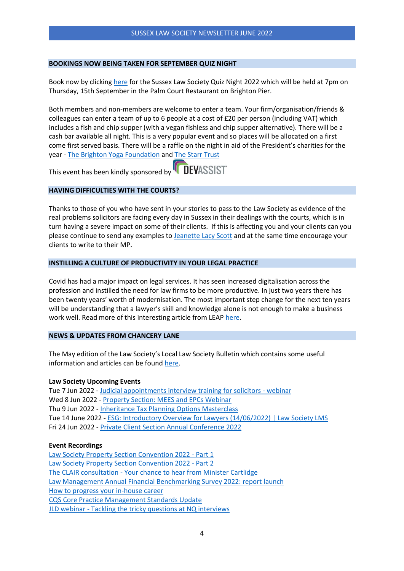### **BOOKINGS NOW BEING TAKEN FOR SEPTEMBER QUIZ NIGHT**

Book now by clickin[g here](https://www.sussex-law.co.uk/wp-content/uploads/2022/06/Quiz-Night-2022-Flyer-1.pdf) for the Sussex Law Society Quiz Night 2022 which will be held at 7pm on Thursday, 15th September in the Palm Court Restaurant on Brighton Pier.

Both members and non-members are welcome to enter a team. Your firm/organisation/friends & colleagues can enter a team of up to 6 people at a cost of £20 per person (including VAT) which includes a fish and chip supper (with a vegan fishless and chip supper alternative). There will be a cash bar available all night. This is a very popular event and so places will be allocated on a first come first served basis. There will be a raffle on the night in aid of the President's charities for the year - [The Brighton Yoga Foundation](https://www.brightonyogafoundation.org/) and [The Starr Trust](https://www.starrtrust.org/)

**DEVASSIST** This event has been kindly sponsored by

## **HAVING DIFFICULTIES WITH THE COURTS?**

Thanks to those of you who have sent in your stories to pass to the Law Society as evidence of the real problems solicitors are facing every day in Sussex in their dealings with the courts, which is in turn having a severe impact on some of their clients. If this is affecting you and your clients can you please continue to send any examples to [Jeanette Lacy Scott](mailto:jls@sussex-law.co.uk) and at the same time encourage your clients to write to their MP.

# **INSTILLING A CULTURE OF PRODUCTIVITY IN YOUR LEGAL PRACTICE**

Covid has had a major impact on legal services. It has seen increased digitalisation across the profession and instilled the need for law firms to be more productive. In just two years there has been twenty years' worth of modernisation. The most important step change for the next ten years will be understanding that a lawyer's skill and knowledge alone is not enough to make a business work well. Read more of this interesting article from LEAP [here.](https://www.sussex-law.co.uk/wp-content/uploads/2022/06/Leap-Article-May-2022-1.pdf)

### **NEWS & UPDATES FROM CHANCERY LANE**

The May edition of the Law Society's Local Law Society Bulletin which contains some useful information and articles can be foun[d here.](https://www.sussex-law.co.uk/wp-content/uploads/2022/06/Local-Law-Society-Bulletin-1-May-2022.pdf)

### **Law Society Upcoming Events**

Tue 7 Jun 2022 - [Judicial appointments interview training for solicitors -](https://events.lawsociety.org.uk/ClientApps/Silverbear.Web.EDMS/public/default.aspx?tabId=37&id=2970&orgId=1&utm_source=law_society_rel_man&utm_medium=email&utm_campaign=Local+Law+Society+Bulletin_05%2f17%2f2022&guid=92f4c478-e695-4663-b9e1-a5081c8ff7cf) webinar Wed 8 Jun 2022 - [Property Section: MEES and EPCs Webinar](https://events.lawsociety.org.uk/ClientApps/Silverbear.Web.EDMS/public/default.aspx?tabId=37&id=3051&orgId=1&utm_source=law_society_rel_man&utm_medium=email&utm_campaign=Local+Law+Society+Bulletin_05%2f17%2f2022&guid=1eaca37c-33e7-43d6-b61c-0c859bf1c69a) Thu 9 Jun 2022 - [Inheritance Tax Planning Options Masterclass](https://events.lawsociety.org.uk/ClientApps/Silverbear.Web.EDMS/public/default.aspx?tabId=37&id=3060&orgId=1&utm_source=law_society_rel_man&utm_medium=email&utm_campaign=Local+Law+Society+Bulletin_05%2f17%2f2022&guid=db553707-08b3-4c93-806f-c7bed4df5391) Tue 14 June 2022 - [ESG: Introductory Overview for Lawyers \(14/06/2022\) | Law](https://learn.lawsociety.org.uk/product/esg-introductory-overview-for-lawyers-14-06-2022/?utm_source=law_society_rel_man&utm_medium=email&utm_campaign=Local+Law+Society+Bulletin_05%2f17%2f2022) Society LMS Fri 24 Jun 2022 - [Private Client Section Annual Conference 2022](https://events.lawsociety.org.uk/ClientApps/Silverbear.Web.EDMS/public/default.aspx?tabId=37&id=3035&orgId=1&utm_source=law_society_rel_man&utm_medium=email&utm_campaign=Local+Law+Society+Bulletin_05%2f17%2f2022&guid=2c839279-bc7b-47d0-b854-a5921b897fd1)

### **Event Recordings**

[Law Society Property Section Convention 2022 -](https://players.brightcove.net/5546369619001/default_default/index.html?videoId=6305648945112&utm_source=law_society_rel_man&utm_medium=email&utm_campaign=Local+Law+Society+Bulletin_05%2f17%2f2022) Part 1 [Law Society Property Section Convention 2022 -](https://players.brightcove.net/5546369619001/default_default/index.html?videoId=6305654546112&utm_source=law_society_rel_man&utm_medium=email&utm_campaign=Local+Law+Society+Bulletin_05%2f17%2f2022) Part 2 The CLAIR consultation - [Your chance to hear from Minister Cartlidge](https://players.brightcove.net/5546369619001/default_default/index.html?videoId=6305649227112&utm_source=law_society_rel_man&utm_medium=email&utm_campaign=Local+Law+Society+Bulletin_05%2f17%2f2022) [Law Management Annual Financial Benchmarking Survey 2022: report launch](https://players.brightcove.net/5546369619001/default_default/index.html?videoId=6305366398112&utm_source=law_society_rel_man&utm_medium=email&utm_campaign=Local+Law+Society+Bulletin_05%2f17%2f2022) [How to progress your in-house career](https://players.brightcove.net/5546369619001/default_default/index.html?videoId=6305304091112&utm_source=law_society_rel_man&utm_medium=email&utm_campaign=Local+Law+Society+Bulletin_05%2f17%2f2022) [CQS Core Practice Management Standards Update](https://players.brightcove.net/5546369619001/default_default/index.html?videoId=6304633342001&utm_source=law_society_rel_man&utm_medium=email&utm_campaign=Local+Law+Society+Bulletin_05%2f17%2f2022) JLD webinar - [Tackling the tricky questions at NQ interviews](https://players.brightcove.net/5546369619001/default_default/index.html?videoId=6301569793001&utm_source=law_society_rel_man&utm_medium=email&utm_campaign=Local+Law+Society+Bulletin_05%2f17%2f2022)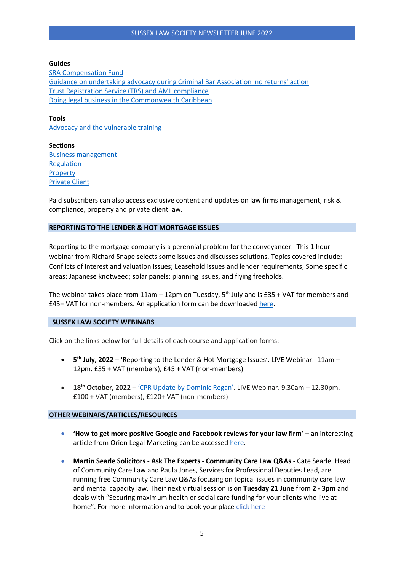#### **Guides**

[SRA Compensation Fund](https://www.lawsociety.org.uk/topics/professional-indemnity-insurance/sra-compensation-fund) [Guidance on undertaking advocacy during Criminal Bar Association 'no returns' action](https://www.lawsociety.org.uk/topics/criminal-justice/guidance-on-undertaking-advocacy-during-cba-no-returns-action) [Trust Registration Service \(TRS\) and AML compliance](https://www.lawsociety.org.uk/topics/anti-money-laundering/trust-registration-service-trs-and-aml-compliance) [Doing legal business in the Commonwealth Caribbean](https://www.lawsociety.org.uk/topics/international/doing-legal-business-in-the-commonwealth-caribbean)

**Tools** [Advocacy and the vulnerable training](https://www.lawsociety.org.uk/topics/advocacy/advocacy-and-the-vulnerable-training)

**Sections** [Business management](https://www.lawsociety.org.uk/topics/business-management/) [Regulation](https://www.lawsociety.org.uk/topics/regulation/) **[Property](https://www.lawsociety.org.uk/topics/property/)** [Private Client](https://www.lawsociety.org.uk/topics/private-client/)

Paid subscribers can also access exclusive content and updates on law firms management, risk & compliance, property and private client law.

# **REPORTING TO THE LENDER & HOT MORTGAGE ISSUES**

Reporting to the mortgage company is a perennial problem for the conveyancer. This 1 hour webinar from Richard Snape selects some issues and discusses solutions. Topics covered include: Conflicts of interest and valuation issues; Leasehold issues and lender requirements; Some specific areas: Japanese knotweed; solar panels; planning issues, and flying freeholds.

The webinar takes place from  $11$ am –  $12$ pm on Tuesday,  $5<sup>th</sup>$  July and is £35 + VAT for members and £45+ VAT for non-members. An application form can be downloaded [here.](https://www.sussex-law.co.uk/wp-content/uploads/2022/05/Reporting-to-the-Lender-2022-Flyer.pdf)

#### **SUSSEX LAW SOCIETY WEBINARS**

Click on the links below for full details of each course and application forms:

- **5 th July, 2022** 'Reporting to the Lender & Hot Mortgage Issues'. LIVE Webinar. 11am 12pm. £35 + VAT (members), £45 + VAT (non-members)
- **18th October, 2022**  ['CPR Update by Dominic Regan'](https://www.sussex-law.co.uk/course/cpr-update-by-dominic-regan/). LIVE Webinar. 9.30am 12.30pm. £100 + VAT (members), £120+ VAT (non-members)

### **OTHER WEBINARS/ARTICLES/RESOURCES**

- **'How to get more positive Google and Facebook reviews for your law firm' –** an interesting article from Orion Legal Marketing can be accessed [here.](https://www.sussex-law.co.uk/wp-content/uploads/2022/06/Orion-May-2022-Article.pdf)
- **Martin Searle Solicitors - Ask The Experts - Community Care Law Q&As -** Cate Searle, Head of Community Care Law and Paula Jones, Services for Professional Deputies Lead, are running free Community Care Law Q&As focusing on topical issues in community care law and mental capacity law. Their next virtual session is on **Tuesday 21 June** from **2 - 3pm** and deals with "Securing maximum health or social care funding for your clients who live at home". For more information and to book your place [click here](https://www.ms-solicitors.co.uk/professional-deputies/ask-the-experts-community-care-law-qa-sessions/)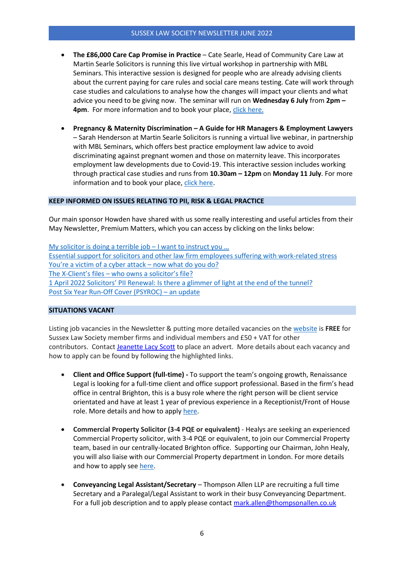## SUSSEX LAW SOCIETY NEWSLETTER JUNE 2022

- **The £86,000 Care Cap Promise in Practice**  Cate Searle, Head of Community Care Law at Martin Searle Solicitors is running this live virtual workshop in partnership with MBL Seminars. This interactive session is designed for people who are already advising clients about the current paying for care rules and social care means testing. Cate will work through case studies and calculations to analyse how the changes will impact your clients and what advice you need to be giving now. The seminar will run on **Wednesday 6 July** from **2pm – 4pm**. For more information and to book your place, [click here.](https://www.mblseminars.com/Outline/The-%C2%A386,000-Care-Cap-Promise-in-Practice---A-Live-Workshop-with-Cate-Searle---Learn-Live/15861)
- **Pregnancy & Maternity Discrimination – A Guide for HR Managers & Employment Lawyers** – Sarah Henderson at Martin Searle Solicitors is running a virtual live webinar, in partnership with MBL Seminars, which offers best practice employment law advice to avoid discriminating against pregnant women and those on maternity leave. This incorporates employment law developments due to Covid-19. This interactive session includes working through practical case studies and runs from **10.30am – 12pm** on **Monday 11 July**. For more information and to book your place[, click here.](https://www.ms-solicitors.co.uk/employer-events/mbl-seminars-with-sarah-henderson/)

## **KEEP INFORMED ON ISSUES RELATING TO PII, RISK & LEGAL PRACTICE**

Our main sponsor Howden have shared with us some really interesting and useful articles from their May Newsletter, Premium Matters, which you can access by clicking on the links below:

[My solicitor is doing a terrible job](https://www.howdengroup.com/uk-en/solicitor-terrible-job-instruct-you) – I want to instruct you … [Essential support for solicitors and other law firm employees suffering with work-related stress](https://www.howdengroup.com/uk-en/support-solicitors-work-related-stress) [You're a victim of a cyber attack –](https://www.howdengroup.com/uk-en/cyber-attack-advice) now what do you do? The X-[Client's files –](https://www.howdengroup.com/uk-en/who-owns-solicitors-x-client-files) who owns a solicitor's file? [1 April 2022 Solicitors' PII Renewal: Is there a glimmer of light at the end of the tunnel?](https://www.howdengroup.com/uk-en/solicitors-pii-renewal-glimmer-light) [Post Six Year Run-Off Cover \(PSYROC\)](https://www.howdengroup.com/uk-en/psyroc-update-May-2022) – an update

# **SITUATIONS VACANT**

Listing job vacancies in the Newsletter & putting more detailed vacancies on the [website](http://www.sussex-law.co.uk/jobs/) is **FREE** for Sussex Law Society member firms and individual members and £50 + VAT for other contributors. Contact [Jeanette Lacy Scott](mailto:jls@sussex-law.co.uk) to place an advert. More details about each vacancy and how to apply can be found by following the highlighted links.

- **Client and Office Support (full-time) -** To support the team's ongoing growth, Renaissance Legal is looking for a full-time client and office support professional. Based in the firm's head office in central Brighton, this is a busy role where the right person will be client service orientated and have at least 1 year of previous experience in a Receptionist/Front of House role. More details and how to apply [here.](https://www.renaissancelegal.co.uk/about-us/vacancies/client-and-office-support/)
- **Commercial Property Solicitor (3-4 PQE or equivalent)** Healys are seeking an experienced Commercial Property solicitor, with 3-4 PQE or equivalent, to join our Commercial Property team, based in our centrally-located Brighton office. Supporting our Chairman, John Healy, you will also liaise with our Commercial Property department in London. For more details and how to apply see [here.](https://www.sussex-law.co.uk/job/commercial-property-solicitor-3-4-pqe-or-equivalent/)
- **Conveyancing Legal Assistant/Secretary** Thompson Allen LLP are recruiting a full time Secretary and a Paralegal/Legal Assistant to work in their busy Conveyancing Department. For a full job description and to apply please contact [mark.allen@thompsonallen.co.uk](mailto:mark.allen@thompsonallen.co.uk)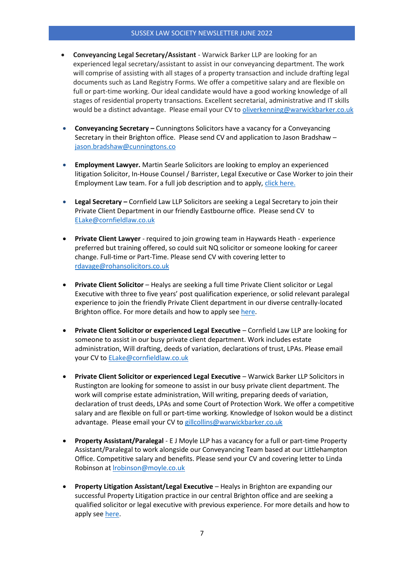- **Conveyancing Legal Secretary/Assistant** Warwick Barker LLP are looking for an experienced legal secretary/assistant to assist in our conveyancing department. The work will comprise of assisting with all stages of a property transaction and include drafting legal documents such as Land Registry Forms. We offer a competitive salary and are flexible on full or part-time working. Our ideal candidate would have a good working knowledge of all stages of residential property transactions. Excellent secretarial, administrative and IT skills would be a distinct advantage. Please email your CV to [oliverkenning@warwickbarker.co.uk](mailto:oliverkenning@warwickbarker.co.uk)
- **Conveyancing Secretary –** Cunningtons Solicitors have a vacancy for a Conveyancing Secretary in their Brighton office. Please send CV and application to Jason Bradshaw – [jason.bradshaw@cunningtons.co](mailto:jason.bradshaw@cunningtons.co)
- **Employment Lawyer.** Martin Searle Solicitors are looking to employ an experienced litigation Solicitor, In-House Counsel / Barrister, Legal Executive or Case Worker to join their Employment Law team. For a full job description and to apply, [click here.](https://www.ms-solicitors.co.uk/careers/employment-lawyer/)
- **Legal Secretary –** Cornfield Law LLP Solicitors are seeking a Legal Secretary to join their Private Client Department in our friendly Eastbourne office. Please send CV to [ELake@cornfieldlaw.co.uk](mailto:ELake@cornfieldlaw.co.uk)
- **Private Client Lawyer** required to join growing team in Haywards Heath experience preferred but training offered, so could suit NQ solicitor or someone looking for career change. Full-time or Part-Time. Please send CV with covering letter to [rdavage@rohansolicitors.co.uk](mailto:rdavage@rohansolicitors.co.uk)
- **Private Client Solicitor** Healys are seeking a full time Private Client solicitor or Legal Executive with three to five years' post qualification experience, or solid relevant paralegal experience to join the friendly Private Client department in our diverse centrally-located Brighton office. For more details and how to apply see [here.](https://www.sussex-law.co.uk/job/private-client-solicitor/)
- **Private Client Solicitor or experienced Legal Executive** Cornfield Law LLP are looking for someone to assist in our busy private client department. Work includes estate administration, Will drafting, deeds of variation, declarations of trust, LPAs. Please email your CV to [ELake@cornfieldlaw.co.uk](mailto:ELake@cornfieldlaw.co.uk)
- **Private Client Solicitor or experienced Legal Executive** Warwick Barker LLP Solicitors in Rustington are looking for someone to assist in our busy private client department. The work will comprise estate administration, Will writing, preparing deeds of variation, declaration of trust deeds, LPAs and some Court of Protection Work. We offer a competitive salary and are flexible on full or part-time working. Knowledge of Isokon would be a distinct advantage. Please email your CV t[o gillcollins@warwickbarker.co.uk](mailto:gillcollins@warwickbarker.co.uk)
- **Property Assistant/Paralegal** E J Moyle LLP has a vacancy for a full or part-time Property Assistant/Paralegal to work alongside our Conveyancing Team based at our Littlehampton Office. Competitive salary and benefits. Please send your CV and covering letter to Linda Robinson at [lrobinson@moyle.co.uk](mailto:lrobinson@moyle.co.uk)
- **Property Litigation Assistant/Legal Executive** Healys in Brighton are expanding our successful Property Litigation practice in our central Brighton office and are seeking a qualified solicitor or legal executive with previous experience. For more details and how to apply see [here.](https://www.sussex-law.co.uk/job/property-litigation-solicitor-legal-executive/)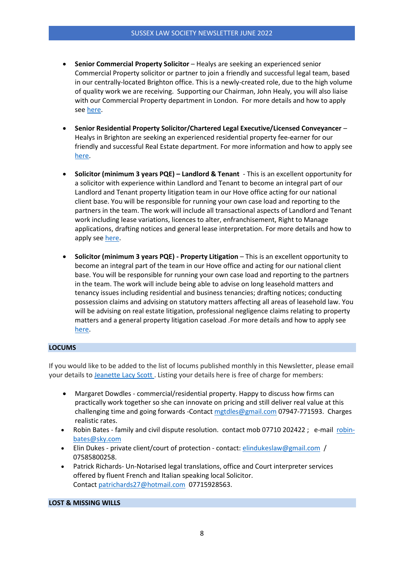- **Senior Commercial Property Solicitor**  Healys are seeking an experienced senior Commercial Property solicitor or partner to join a friendly and successful legal team, based in our centrally-located Brighton office. This is a newly-created role, due to the high volume of quality work we are receiving. Supporting our Chairman, John Healy, you will also liaise with our Commercial Property department in London. For more details and how to apply see [here.](https://www.sussex-law.co.uk/job/senior-commercial-property-solicitor/)
- **Senior Residential Property Solicitor/Chartered Legal Executive/Licensed Conveyancer** Healys in Brighton are seeking an experienced residential property fee-earner for our friendly and successful Real Estate department. For more information and how to apply see [here.](https://www.sussex-law.co.uk/job/senior-residential-property-solicitor-chartered-legal-executive-licensed-conveyancer/)
- **Solicitor (minimum 3 years PQE) – Landlord & Tenant**  This is an excellent opportunity for a solicitor with experience within Landlord and Tenant to become an integral part of our Landlord and Tenant property litigation team in our Hove office acting for our national client base. You will be responsible for running your own case load and reporting to the partners in the team. The work will include all transactional aspects of Landlord and Tenant work including lease variations, licences to alter, enfranchisement, Right to Manage applications, drafting notices and general lease interpretation. For more details and how to apply see [here.](https://www.sussex-law.co.uk/job/solicitor-minimum-3-yrs-pqe/)
- **Solicitor (minimum 3 years PQE) - Property Litigation** This is an excellent opportunity to become an integral part of the team in our Hove office and acting for our national client base. You will be responsible for running your own case load and reporting to the partners in the team. The work will include being able to advise on long leasehold matters and tenancy issues including residential and business tenancies; drafting notices; conducting possession claims and advising on statutory matters affecting all areas of leasehold law. You will be advising on real estate litigation, professional negligence claims relating to property matters and a general property litigation caseload .For more details and how to apply see [here.](https://www.sussex-law.co.uk/job/solicitor-minimum-3-years-pqe-property-litigation/)

## **LOCUMS**

If you would like to be added to the list of locums published monthly in this Newsletter, please email your details to [Jeanette Lacy Scott](mailto:jls@sussex-law.co.uk) . Listing your details here is free of charge for members:

- Margaret Dowdles commercial/residential property. Happy to discuss how firms can practically work together so she can innovate on pricing and still deliver real value at this challenging time and going forwards -Contact [mgtdles@gmail.com](mailto:mgtdles@gmail.com) 07947-771593. Charges realistic rates.
- Robin Bates family and civil dispute resolution. contact mob 07710 202422; e-mail [robin](mailto:robin-bates@sky.com)[bates@sky.com](mailto:robin-bates@sky.com)
- Elin Dukes private client/court of protection contact: [elindukeslaw@gmail.com](mailto:elindukeslaw@gmail.com) / 07585800258.
- Patrick Richards- Un-Notarised legal translations, office and Court interpreter services offered by fluent French and Italian speaking local Solicitor. Contact [patrichards27@hotmail.com](mailto:patrichards27@hotmail.com) 07715928563.

**LOST & MISSING WILLS**